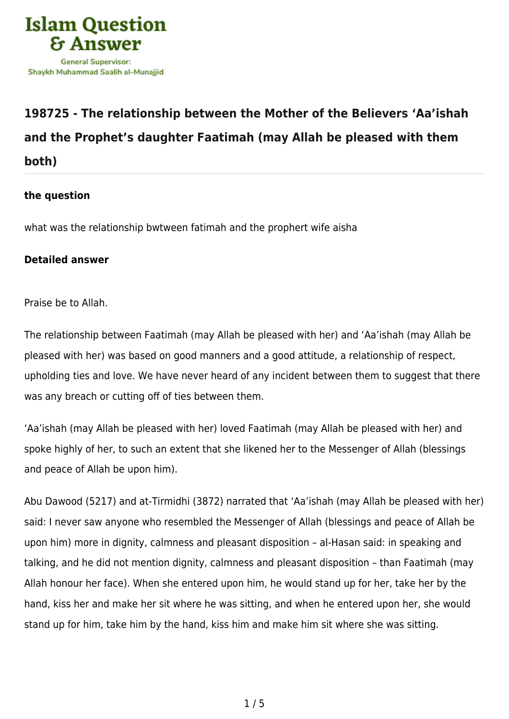

## **[198725 - The relationship between the Mother of the Believers 'Aa'ishah](https://islamqa.com/en/answers/198725/the-relationship-between-the-mother-of-the-believers-aaishah-and-the-prophets-daughter-faatimah-may-allah-be-pleased-with-them-both) [and the Prophet's daughter Faatimah \(may Allah be pleased with them](https://islamqa.com/en/answers/198725/the-relationship-between-the-mother-of-the-believers-aaishah-and-the-prophets-daughter-faatimah-may-allah-be-pleased-with-them-both) [both\)](https://islamqa.com/en/answers/198725/the-relationship-between-the-mother-of-the-believers-aaishah-and-the-prophets-daughter-faatimah-may-allah-be-pleased-with-them-both)**

## **the question**

what was the relationship bwtween fatimah and the prophert wife aisha

## **Detailed answer**

Praise be to Allah.

The relationship between Faatimah (may Allah be pleased with her) and 'Aa'ishah (may Allah be pleased with her) was based on good manners and a good attitude, a relationship of respect, upholding ties and love. We have never heard of any incident between them to suggest that there was any breach or cutting off of ties between them.

'Aa'ishah (may Allah be pleased with her) loved Faatimah (may Allah be pleased with her) and spoke highly of her, to such an extent that she likened her to the Messenger of Allah (blessings and peace of Allah be upon him).

Abu Dawood (5217) and at-Tirmidhi (3872) narrated that 'Aa'ishah (may Allah be pleased with her) said: I never saw anyone who resembled the Messenger of Allah (blessings and peace of Allah be upon him) more in dignity, calmness and pleasant disposition – al-Hasan said: in speaking and talking, and he did not mention dignity, calmness and pleasant disposition – than Faatimah (may Allah honour her face). When she entered upon him, he would stand up for her, take her by the hand, kiss her and make her sit where he was sitting, and when he entered upon her, she would stand up for him, take him by the hand, kiss him and make him sit where she was sitting.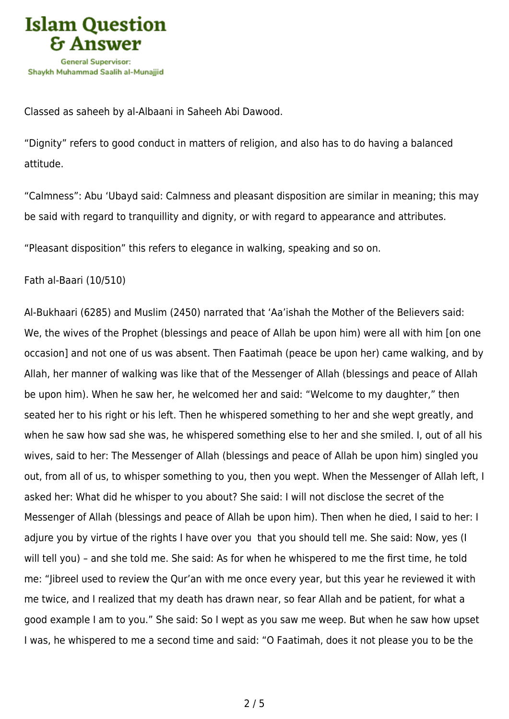

Classed as saheeh by al-Albaani in Saheeh Abi Dawood.

"Dignity" refers to good conduct in matters of religion, and also has to do having a balanced attitude.

"Calmness": Abu 'Ubayd said: Calmness and pleasant disposition are similar in meaning; this may be said with regard to tranquillity and dignity, or with regard to appearance and attributes.

"Pleasant disposition" this refers to elegance in walking, speaking and so on.

## Fath al-Baari (10/510)

Al-Bukhaari (6285) and Muslim (2450) narrated that 'Aa'ishah the Mother of the Believers said: We, the wives of the Prophet (blessings and peace of Allah be upon him) were all with him [on one occasion] and not one of us was absent. Then Faatimah (peace be upon her) came walking, and by Allah, her manner of walking was like that of the Messenger of Allah (blessings and peace of Allah be upon him). When he saw her, he welcomed her and said: "Welcome to my daughter," then seated her to his right or his left. Then he whispered something to her and she wept greatly, and when he saw how sad she was, he whispered something else to her and she smiled. I, out of all his wives, said to her: The Messenger of Allah (blessings and peace of Allah be upon him) singled you out, from all of us, to whisper something to you, then you wept. When the Messenger of Allah left, I asked her: What did he whisper to you about? She said: I will not disclose the secret of the Messenger of Allah (blessings and peace of Allah be upon him). Then when he died, I said to her: I adjure you by virtue of the rights I have over you that you should tell me. She said: Now, yes (I will tell you) – and she told me. She said: As for when he whispered to me the first time, he told me: "Jibreel used to review the Qur'an with me once every year, but this year he reviewed it with me twice, and I realized that my death has drawn near, so fear Allah and be patient, for what a good example I am to you." She said: So I wept as you saw me weep. But when he saw how upset I was, he whispered to me a second time and said: "O Faatimah, does it not please you to be the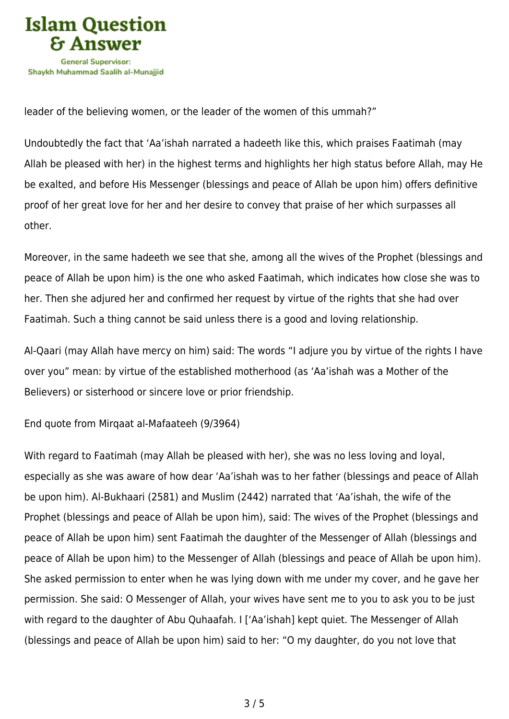

leader of the believing women, or the leader of the women of this ummah?"

Undoubtedly the fact that 'Aa'ishah narrated a hadeeth like this, which praises Faatimah (may Allah be pleased with her) in the highest terms and highlights her high status before Allah, may He be exalted, and before His Messenger (blessings and peace of Allah be upon him) offers definitive proof of her great love for her and her desire to convey that praise of her which surpasses all other.

Moreover, in the same hadeeth we see that she, among all the wives of the Prophet (blessings and peace of Allah be upon him) is the one who asked Faatimah, which indicates how close she was to her. Then she adjured her and confirmed her request by virtue of the rights that she had over Faatimah. Such a thing cannot be said unless there is a good and loving relationship.

Al-Qaari (may Allah have mercy on him) said: The words "I adjure you by virtue of the rights I have over you" mean: by virtue of the established motherhood (as 'Aa'ishah was a Mother of the Believers) or sisterhood or sincere love or prior friendship.

End quote from Mirqaat al-Mafaateeh (9/3964)

With regard to Faatimah (may Allah be pleased with her), she was no less loving and loyal, especially as she was aware of how dear 'Aa'ishah was to her father (blessings and peace of Allah be upon him). Al-Bukhaari (2581) and Muslim (2442) narrated that 'Aa'ishah, the wife of the Prophet (blessings and peace of Allah be upon him), said: The wives of the Prophet (blessings and peace of Allah be upon him) sent Faatimah the daughter of the Messenger of Allah (blessings and peace of Allah be upon him) to the Messenger of Allah (blessings and peace of Allah be upon him). She asked permission to enter when he was lying down with me under my cover, and he gave her permission. She said: O Messenger of Allah, your wives have sent me to you to ask you to be just with regard to the daughter of Abu Quhaafah. I ['Aa'ishah] kept quiet. The Messenger of Allah (blessings and peace of Allah be upon him) said to her: "O my daughter, do you not love that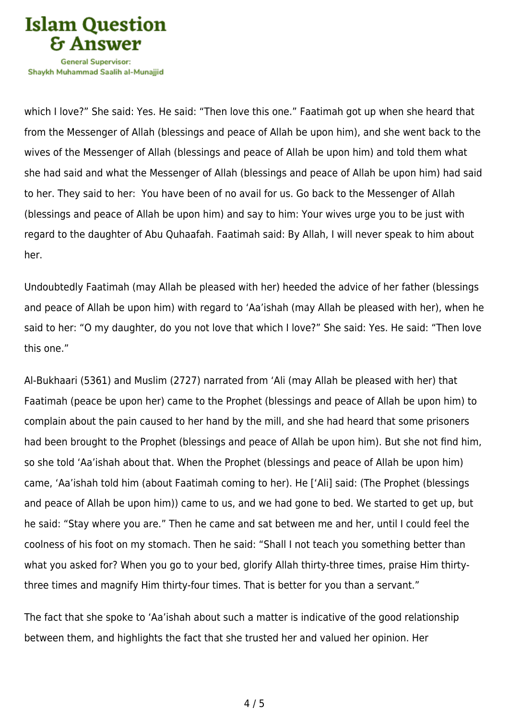

Shavkh Muhammad Saalih al-Munaiiid

which I love?" She said: Yes. He said: "Then love this one." Faatimah got up when she heard that from the Messenger of Allah (blessings and peace of Allah be upon him), and she went back to the wives of the Messenger of Allah (blessings and peace of Allah be upon him) and told them what she had said and what the Messenger of Allah (blessings and peace of Allah be upon him) had said to her. They said to her: You have been of no avail for us. Go back to the Messenger of Allah (blessings and peace of Allah be upon him) and say to him: Your wives urge you to be just with regard to the daughter of Abu Quhaafah. Faatimah said: By Allah, I will never speak to him about her.

Undoubtedly Faatimah (may Allah be pleased with her) heeded the advice of her father (blessings and peace of Allah be upon him) with regard to 'Aa'ishah (may Allah be pleased with her), when he said to her: "O my daughter, do you not love that which I love?" She said: Yes. He said: "Then love this one."

Al-Bukhaari (5361) and Muslim (2727) narrated from 'Ali (may Allah be pleased with her) that Faatimah (peace be upon her) came to the Prophet (blessings and peace of Allah be upon him) to complain about the pain caused to her hand by the mill, and she had heard that some prisoners had been brought to the Prophet (blessings and peace of Allah be upon him). But she not find him, so she told 'Aa'ishah about that. When the Prophet (blessings and peace of Allah be upon him) came, 'Aa'ishah told him (about Faatimah coming to her). He ['Ali] said: (The Prophet (blessings and peace of Allah be upon him)) came to us, and we had gone to bed. We started to get up, but he said: "Stay where you are." Then he came and sat between me and her, until I could feel the coolness of his foot on my stomach. Then he said: "Shall I not teach you something better than what you asked for? When you go to your bed, glorify Allah thirty-three times, praise Him thirtythree times and magnify Him thirty-four times. That is better for you than a servant."

The fact that she spoke to 'Aa'ishah about such a matter is indicative of the good relationship between them, and highlights the fact that she trusted her and valued her opinion. Her